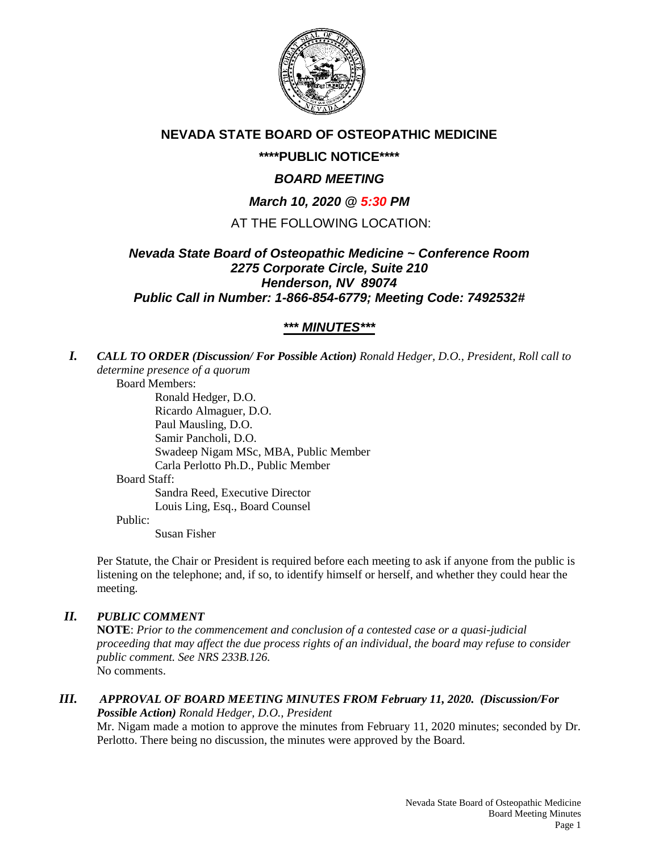

# **NEVADA STATE BOARD OF OSTEOPATHIC MEDICINE**

# **\*\*\*\*PUBLIC NOTICE\*\*\*\***

# *BOARD MEETING*

# *March 10, 2020 @ 5:30 PM*

## AT THE FOLLOWING LOCATION:

## *Nevada State Board of Osteopathic Medicine ~ Conference Room 2275 Corporate Circle, Suite 210 Henderson, NV 89074 Public Call in Number: 1-866-854-6779; Meeting Code: 7492532#*

# *\*\*\* MINUTES\*\*\**

*I. CALL TO ORDER (Discussion/ For Possible Action) Ronald Hedger, D.O., President, Roll call to determine presence of a quorum*

Board Members: Ronald Hedger, D.O. Ricardo Almaguer, D.O. Paul Mausling, D.O. Samir Pancholi, D.O. Swadeep Nigam MSc, MBA, Public Member Carla Perlotto Ph.D., Public Member Board Staff: Sandra Reed, Executive Director Louis Ling, Esq., Board Counsel

#### Public:

Susan Fisher

Per Statute, the Chair or President is required before each meeting to ask if anyone from the public is listening on the telephone; and, if so, to identify himself or herself, and whether they could hear the meeting.

### *II. PUBLIC COMMENT*

**NOTE**: *Prior to the commencement and conclusion of a contested case or a quasi-judicial proceeding that may affect the due process rights of an individual, the board may refuse to consider public comment. See NRS 233B.126.* No comments.

#### *III. APPROVAL OF BOARD MEETING MINUTES FROM February 11, 2020. (Discussion/For Possible Action) Ronald Hedger, D.O., President*

Mr. Nigam made a motion to approve the minutes from February 11, 2020 minutes; seconded by Dr. Perlotto. There being no discussion, the minutes were approved by the Board.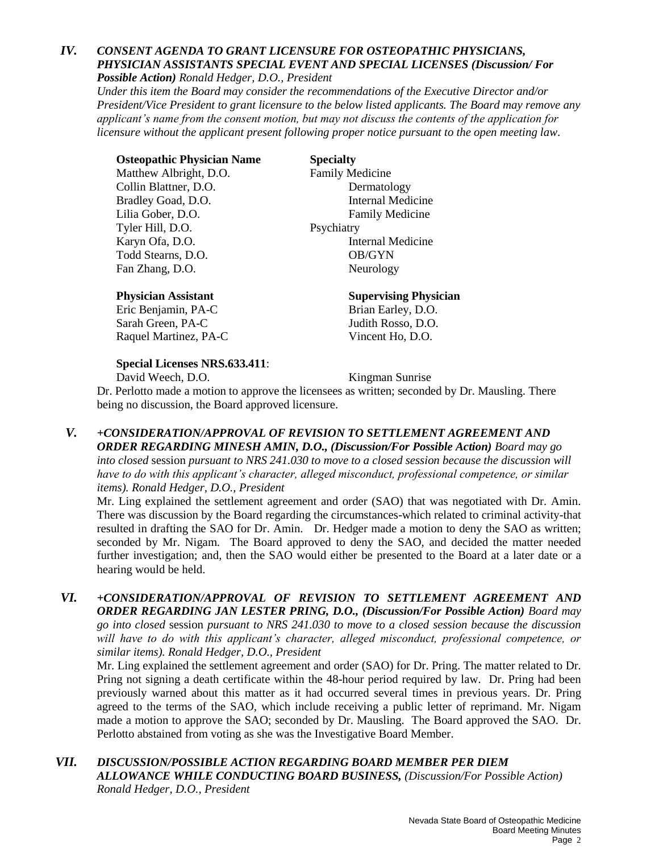### *IV. CONSENT AGENDA TO GRANT LICENSURE FOR OSTEOPATHIC PHYSICIANS, PHYSICIAN ASSISTANTS SPECIAL EVENT AND SPECIAL LICENSES (Discussion/ For Possible Action) Ronald Hedger, D.O., President*

*Under this item the Board may consider the recommendations of the Executive Director and/or President/Vice President to grant licensure to the below listed applicants. The Board may remove any applicant's name from the consent motion, but may not discuss the contents of the application for licensure without the applicant present following proper notice pursuant to the open meeting law.*

**Osteopathic Physician Name Specialty** Matthew Albright, D.O. Family Medicine Collin Blattner, D.O. Dermatology Bradley Goad, D.O. **Internal Medicine** Lilia Gober, D.O. Family Medicine Tyler Hill, D.O. Psychiatry Karyn Ofa, D.O. **Internal Medicine** Todd Stearns, D.O. **OB/GYN** Fan Zhang, D.O. Neurology

### **Physician Assistant Supervising Physician**

Eric Benjamin, PA-C Brian Earley, D.O. Sarah Green, PA-C Judith Rosso, D.O. Raquel Martinez, PA-C Vincent Ho, D.O.

### **Special Licenses NRS.633.411**:

David Weech, D.O. Kingman Sunrise

Dr. Perlotto made a motion to approve the licensees as written; seconded by Dr. Mausling. There being no discussion, the Board approved licensure.

*V. +CONSIDERATION/APPROVAL OF REVISION TO SETTLEMENT AGREEMENT AND ORDER REGARDING MINESH AMIN, D.O., (Discussion/For Possible Action) Board may go into closed* session *pursuant to NRS 241.030 to move to a closed session because the discussion will* 

*have to do with this applicant's character, alleged misconduct, professional competence, or similar items). Ronald Hedger, D.O., President*

Mr. Ling explained the settlement agreement and order (SAO) that was negotiated with Dr. Amin. There was discussion by the Board regarding the circumstances-which related to criminal activity-that resulted in drafting the SAO for Dr. Amin. Dr. Hedger made a motion to deny the SAO as written; seconded by Mr. Nigam. The Board approved to deny the SAO, and decided the matter needed further investigation; and, then the SAO would either be presented to the Board at a later date or a hearing would be held.

*VI. +CONSIDERATION/APPROVAL OF REVISION TO SETTLEMENT AGREEMENT AND ORDER REGARDING JAN LESTER PRING, D.O., (Discussion/For Possible Action) Board may go into closed* session *pursuant to NRS 241.030 to move to a closed session because the discussion will have to do with this applicant's character, alleged misconduct, professional competence, or similar items). Ronald Hedger, D.O., President*

Mr. Ling explained the settlement agreement and order (SAO) for Dr. Pring. The matter related to Dr. Pring not signing a death certificate within the 48-hour period required by law. Dr. Pring had been previously warned about this matter as it had occurred several times in previous years. Dr. Pring agreed to the terms of the SAO, which include receiving a public letter of reprimand. Mr. Nigam made a motion to approve the SAO; seconded by Dr. Mausling. The Board approved the SAO. Dr. Perlotto abstained from voting as she was the Investigative Board Member.

*VII. DISCUSSION/POSSIBLE ACTION REGARDING BOARD MEMBER PER DIEM ALLOWANCE WHILE CONDUCTING BOARD BUSINESS, (Discussion/For Possible Action) Ronald Hedger, D.O., President*